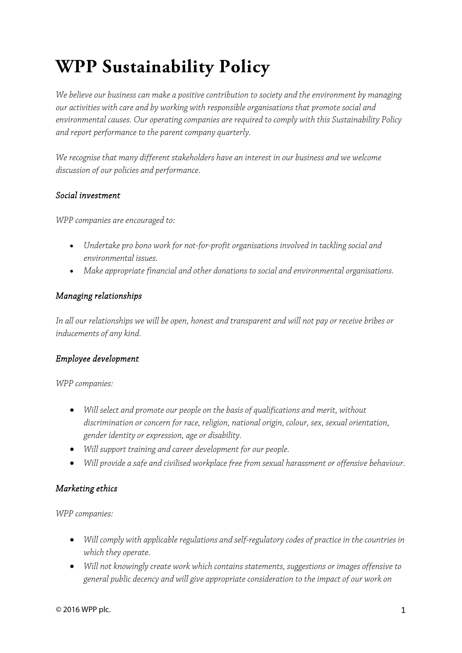# **WPP Sustainability Policy**

*We believe our business can make a positive contribution to society and the environment by managing our activities with care and by working with responsible organisations that promote social and environmental causes. Our operating companies are required to comply with this Sustainability Policy and report performance to the parent company quarterly.* 

*We recognise that many different stakeholders have an interest in our business and we welcome discussion of our policies and performance.* 

#### *Social investment*

*WPP companies are encouraged to:* 

- *Undertake pro bono work for not-for-profit organisations involved in tackling social and environmental issues.*
- *Make appropriate financial and other donations to social and environmental organisations.*

## *Managing relationships*

*In all our relationships we will be open, honest and transparent and will not pay or receive bribes or inducements of any kind.* 

## *Employee development*

*WPP companies:* 

- *Will select and promote our people on the basis of qualifications and merit, without discrimination or concern for race, religion, national origin, colour, sex, sexual orientation, gender identity or expression, age or disability.*
- *Will support training and career development for our people.*
- *Will provide a safe and civilised workplace free from sexual harassment or offensive behaviour.*

## *Marketing ethics*

*WPP companies:* 

- *Will comply with applicable regulations and self-regulatory codes of practice in the countries in which they operate.*
- *Will not knowingly create work which contains statements, suggestions or images offensive to general public decency and will give appropriate consideration to the impact of our work on*